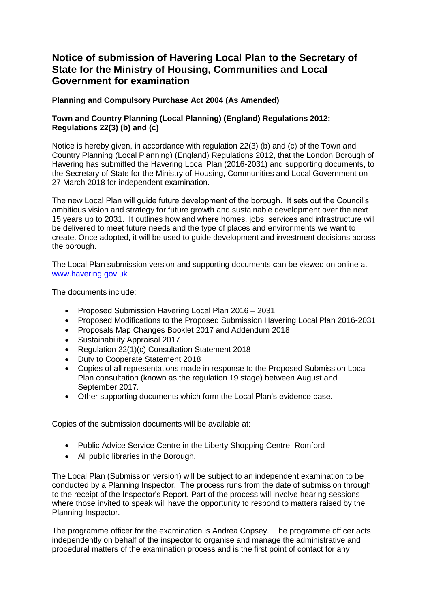## **Notice of submission of Havering Local Plan to the Secretary of State for the Ministry of Housing, Communities and Local Government for examination**

## **Planning and Compulsory Purchase Act 2004 (As Amended)**

## **Town and Country Planning (Local Planning) (England) Regulations 2012: Regulations 22(3) (b) and (c)**

Notice is hereby given, in accordance with regulation 22(3) (b) and (c) of the Town and Country Planning (Local Planning) (England) Regulations 2012, that the London Borough of Havering has submitted the Havering Local Plan (2016-2031) and supporting documents, to the Secretary of State for the Ministry of Housing, Communities and Local Government on 27 March 2018 for independent examination.

The new Local Plan will guide future development of the borough. It sets out the Council's ambitious vision and strategy for future growth and sustainable development over the next 15 years up to 2031. It outlines how and where homes, jobs, services and infrastructure will be delivered to meet future needs and the type of places and environments we want to create. Once adopted, it will be used to guide development and investment decisions across the borough.

The Local Plan submission version and supporting documents **c**an be viewed on online at [www.havering.gov.uk](http://www.havering.gov.uk/LocalPlan)

The documents include:

- Proposed Submission Havering Local Plan 2016 2031
- Proposed Modifications to the Proposed Submission Havering Local Plan 2016-2031
- Proposals Map Changes Booklet 2017 and Addendum 2018
- Sustainability Appraisal 2017
- Regulation 22(1)(c) Consultation Statement 2018
- Duty to Cooperate Statement 2018
- Copies of all representations made in response to the Proposed Submission Local Plan consultation (known as the regulation 19 stage) between August and September 2017.
- Other supporting documents which form the Local Plan's evidence base.

Copies of the submission documents will be available at:

- Public Advice Service Centre in the Liberty Shopping Centre, Romford
- All public libraries in the Borough.

The Local Plan (Submission version) will be subject to an independent examination to be conducted by a Planning Inspector. The process runs from the date of submission through to the receipt of the Inspector's Report. Part of the process will involve hearing sessions where those invited to speak will have the opportunity to respond to matters raised by the Planning Inspector.

The programme officer for the examination is Andrea Copsey. The programme officer acts independently on behalf of the inspector to organise and manage the administrative and procedural matters of the examination process and is the first point of contact for any